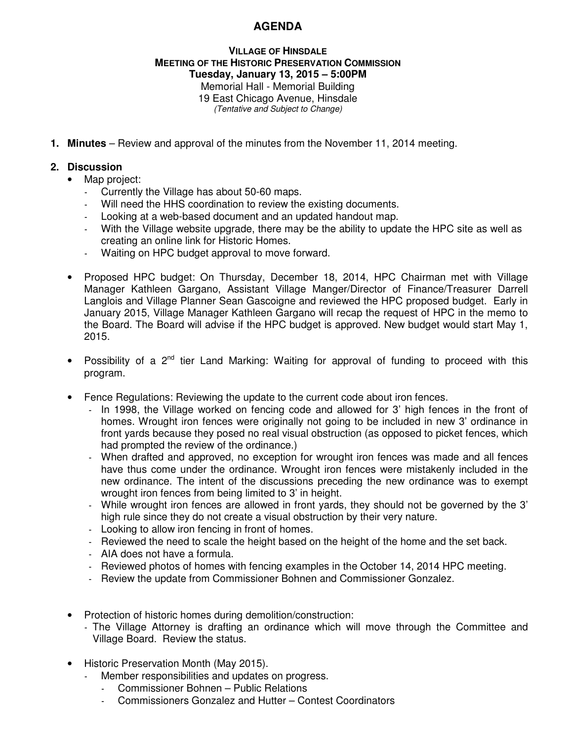## **AGENDA**

## **VILLAGE OF HINSDALE MEETING OF THE HISTORIC PRESERVATION COMMISSION Tuesday, January 13, 2015 – 5:00PM**  Memorial Hall - Memorial Building 19 East Chicago Avenue, Hinsdale (Tentative and Subject to Change)

**1. Minutes** – Review and approval of the minutes from the November 11, 2014 meeting.

## **2. Discussion**

- Map project:
	- Currently the Village has about 50-60 maps.
	- Will need the HHS coordination to review the existing documents.
	- Looking at a web-based document and an updated handout map.
	- With the Village website upgrade, there may be the ability to update the HPC site as well as creating an online link for Historic Homes.
	- Waiting on HPC budget approval to move forward.
- Proposed HPC budget: On Thursday, December 18, 2014, HPC Chairman met with Village Manager Kathleen Gargano, Assistant Village Manger/Director of Finance/Treasurer Darrell Langlois and Village Planner Sean Gascoigne and reviewed the HPC proposed budget. Early in January 2015, Village Manager Kathleen Gargano will recap the request of HPC in the memo to the Board. The Board will advise if the HPC budget is approved. New budget would start May 1, 2015.
- Possibility of a  $2^{nd}$  tier Land Marking: Waiting for approval of funding to proceed with this program.
- Fence Regulations: Reviewing the update to the current code about iron fences.
	- In 1998, the Village worked on fencing code and allowed for 3' high fences in the front of homes. Wrought iron fences were originally not going to be included in new 3' ordinance in front yards because they posed no real visual obstruction (as opposed to picket fences, which had prompted the review of the ordinance.)
	- When drafted and approved, no exception for wrought iron fences was made and all fences have thus come under the ordinance. Wrought iron fences were mistakenly included in the new ordinance. The intent of the discussions preceding the new ordinance was to exempt wrought iron fences from being limited to 3' in height.
	- While wrought iron fences are allowed in front yards, they should not be governed by the 3' high rule since they do not create a visual obstruction by their very nature.
	- Looking to allow iron fencing in front of homes.
	- Reviewed the need to scale the height based on the height of the home and the set back.
	- AIA does not have a formula.
	- Reviewed photos of homes with fencing examples in the October 14, 2014 HPC meeting.
	- Review the update from Commissioner Bohnen and Commissioner Gonzalez.
- Protection of historic homes during demolition/construction:
	- The Village Attorney is drafting an ordinance which will move through the Committee and Village Board. Review the status.
- Historic Preservation Month (May 2015).
	- Member responsibilities and updates on progress.
		- Commissioner Bohnen Public Relations
		- Commissioners Gonzalez and Hutter Contest Coordinators